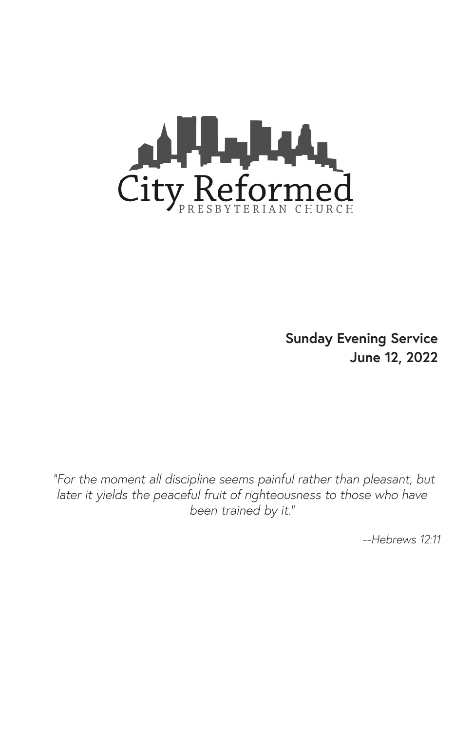

**Sunday Evening Service June 12, 2022**

 *"For the moment all discipline seems painful rather than pleasant, but later it yields the peaceful fruit of righteousness to those who have been trained by it."*

*--Hebrews 12:11*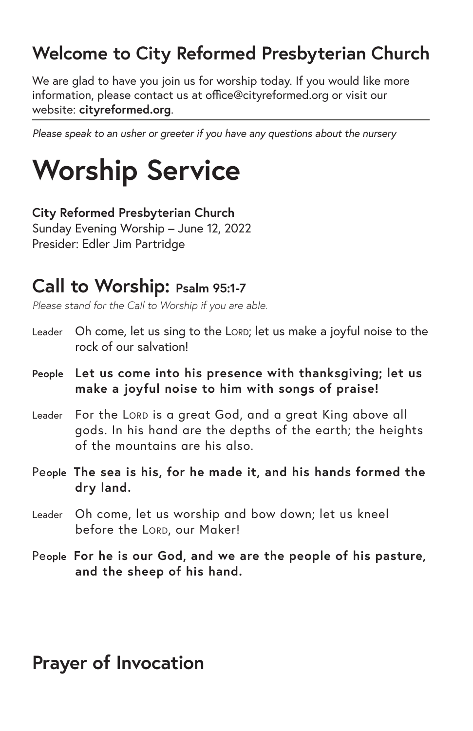# **Welcome to City Reformed Presbyterian Church**

We are glad to have you join us for worship today. If you would like more information, please contact us at office@cityreformed.org or visit our website: **cityreformed.org**.

*Please speak to an usher or greeter if you have any questions about the nursery* 

# **Worship Service**

**City Reformed Presbyterian Church**

Sunday Evening Worship – June 12, 2022 Presider: Edler Jim Partridge

### **Call to Worship: Psalm 95:1-7**

*Please stand for the Call to Worship if you are able.*

- Leader Oh come, let us sing to the LORD; let us make a joyful noise to the rock of our salvation!
- **People Let us come into his presence with thanksgiving; let us make a joyful noise to him with songs of praise!**
- Leader For the LORD is a great God, and a great King above all gods. In his hand are the depths of the earth; the heights of the mountains are his also.
- Pe**ople The sea is his, for he made it, and his hands formed the dry land.**
- Leader Oh come, let us worship and bow down; let us kneel before the LORD, our Maker!
- Pe**ople For he is our God, and we are the people of his pasture, and the sheep of his hand.**

# **Prayer of Invocation**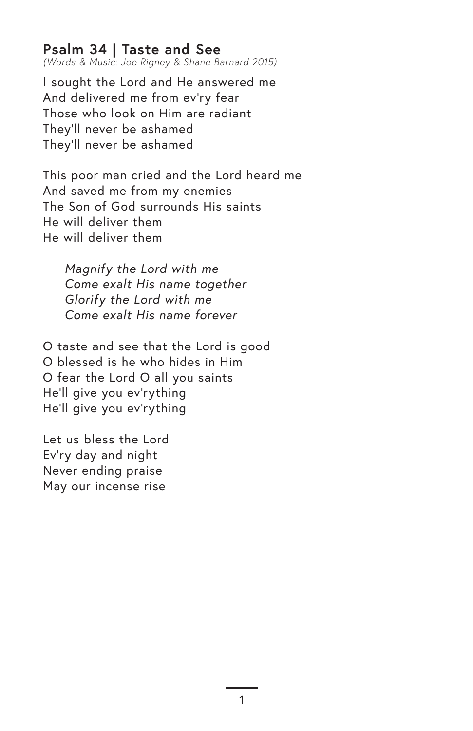#### **Psalm 34 | Taste and See**

*(Words & Music: Joe Rigney & Shane Barnard 2015)*

I sought the Lord and He answered me And delivered me from ev'ry fear Those who look on Him are radiant They'll never be ashamed They'll never be ashamed

This poor man cried and the Lord heard me And saved me from my enemies The Son of God surrounds His saints He will deliver them He will deliver them

*Magnify the Lord with me Come exalt His name together Glorify the Lord with me Come exalt His name forever*

O taste and see that the Lord is good O blessed is he who hides in Him O fear the Lord O all you saints He'll give you ev'rything He'll give you ev'rything

Let us bless the Lord Ev'ry day and night Never ending praise May our incense rise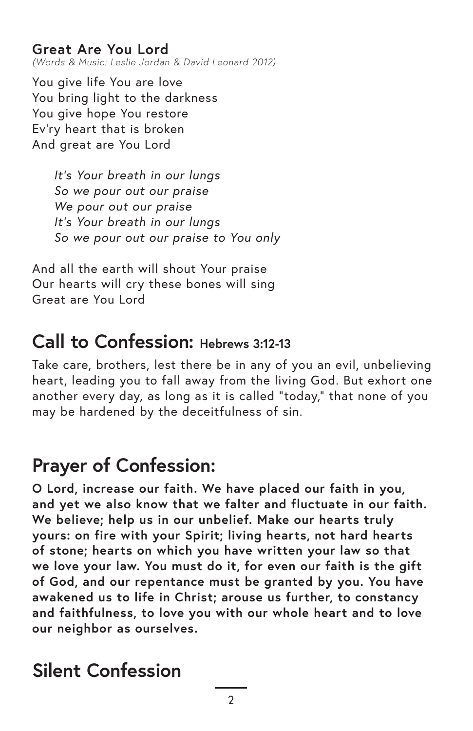#### **Great Are You Lord**

*(Words & Music: Leslie Jordan & David Leonard 2012)*

You give life You are love You bring light to the darkness You give hope You restore Ev'ry heart that is broken And great are You Lord

> *It's Your breath in our lungs So we pour out our praise We pour out our praise It's Your breath in our lungs So we pour out our praise to You only*

And all the earth will shout Your praise Our hearts will cry these bones will sing Great are You Lord

### **Call to Confession: Hebrews 3:12-13**

Take care, brothers, lest there be in any of you an evil, unbelieving heart, leading you to fall away from the living God. But exhort one another every day, as long as it is called "today," that none of you may be hardened by the deceitfulness of sin.

## **Prayer of Confession:**

**O Lord, increase our faith. We have placed our faith in you, and yet we also know that we falter and fluctuate in our faith. We believe; help us in our unbelief. Make our hearts truly yours: on fire with your Spirit; living hearts, not hard hearts of stone; hearts on which you have written your law so that we love your law. You must do it, for even our faith is the gift of God, and our repentance must be granted by you. You have awakened us to life in Christ; arouse us further, to constancy and faithfulness, to love you with our whole heart and to love our neighbor as ourselves.**

# **Silent Confession**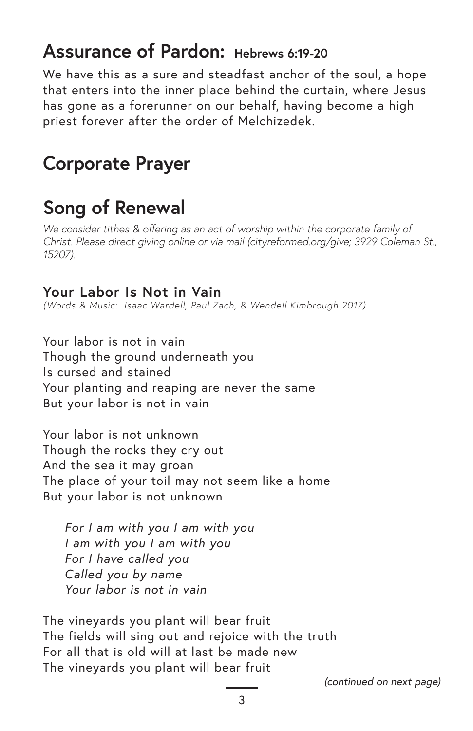### **Assurance of Pardon: Hebrews 6:19-20**

We have this as a sure and steadfast anchor of the soul, a hope that enters into the inner place behind the curtain, where Jesus has gone as a forerunner on our behalf, having become a high priest forever after the order of Melchizedek.

# **Corporate Prayer**

# **Song of Renewal**

We consider tithes & offering as an act of worship within the corporate family of *Christ. Please direct giving online or via mail (cityreformed.org/give; 3929 Coleman St., 15207).*

#### **Your Labor Is Not in Vain**

*(Words & Music: Isaac Wardell, Paul Zach, & Wendell Kimbrough 2017)*

Your labor is not in vain Though the ground underneath you Is cursed and stained Your planting and reaping are never the same But your labor is not in vain

Your labor is not unknown Though the rocks they cry out And the sea it may groan The place of your toil may not seem like a home But your labor is not unknown

*For I am with you I am with you I am with you I am with you For I have called you Called you by name Your labor is not in vain*

The vineyards you plant will bear fruit The fields will sing out and rejoice with the truth For all that is old will at last be made new The vineyards you plant will bear fruit

*(continued on next page)*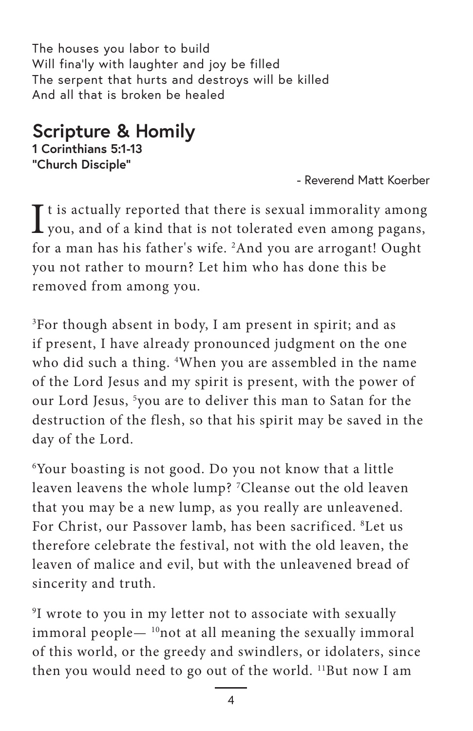The houses you labor to build Will fina'ly with laughter and joy be filled The serpent that hurts and destroys will be killed And all that is broken be healed

#### **Scripture & Homily**

**1 Corinthians 5:1-13 "Church Disciple"**

- Reverend Matt Koerber

It is actually reported that there is sexual immorality among<br>you, and of a kind that is not tolerated even among pagans,  $\mathbf T$  t is actually reported that there is sexual immorality among for a man has his father's wife. 2 And you are arrogant! Ought you not rather to mourn? Let him who has done this be removed from among you.

3 For though absent in body, I am present in spirit; and as if present, I have already pronounced judgment on the one who did such a thing. 4 When you are assembled in the name of the Lord Jesus and my spirit is present, with the power of our Lord Jesus, <sup>5</sup>you are to deliver this man to Satan for the destruction of the flesh, so that his spirit may be saved in the day of the Lord.

6 Your boasting is not good. Do you not know that a little leaven leavens the whole lump? 7 Cleanse out the old leaven that you may be a new lump, as you really are unleavened. For Christ, our Passover lamb, has been sacrificed. 8 Let us therefore celebrate the festival, not with the old leaven, the leaven of malice and evil, but with the unleavened bread of sincerity and truth.

9 I wrote to you in my letter not to associate with sexually immoral people— <sup>10</sup>not at all meaning the sexually immoral of this world, or the greedy and swindlers, or idolaters, since then you would need to go out of the world. 11But now I am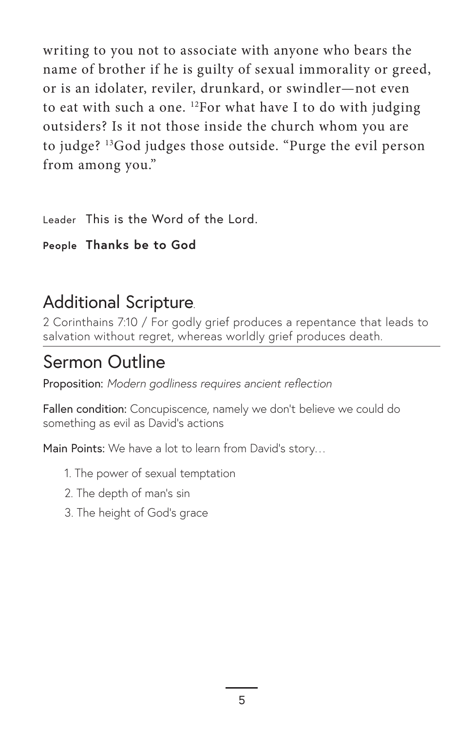writing to you not to associate with anyone who bears the name of brother if he is guilty of sexual immorality or greed, or is an idolater, reviler, drunkard, or swindler—not even to eat with such a one. 12For what have I to do with judging outsiders? Is it not those inside the church whom you are to judge? 13God judges those outside. "Purge the evil person from among you."

Leader This is the Word of the Lord.

**People Thanks be to God**

# Additional Scripture.

2 Corinthains 7:10 / For godly grief produces a repentance that leads to salvation without regret, whereas worldly grief produces death.

## Sermon Outline

Proposition: *Modern godliness requires ancient reflection*

Fallen condition: Concupiscence, namely we don't believe we could do something as evil as David's actions

Main Points: We have a lot to learn from David's story...

- 1. The power of sexual temptation
- 2. The depth of man's sin
- 3. The height of God's grace